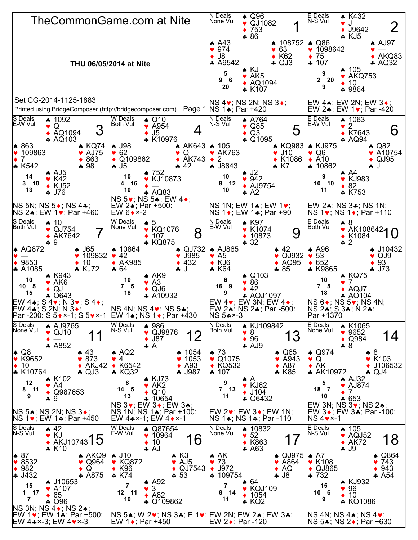